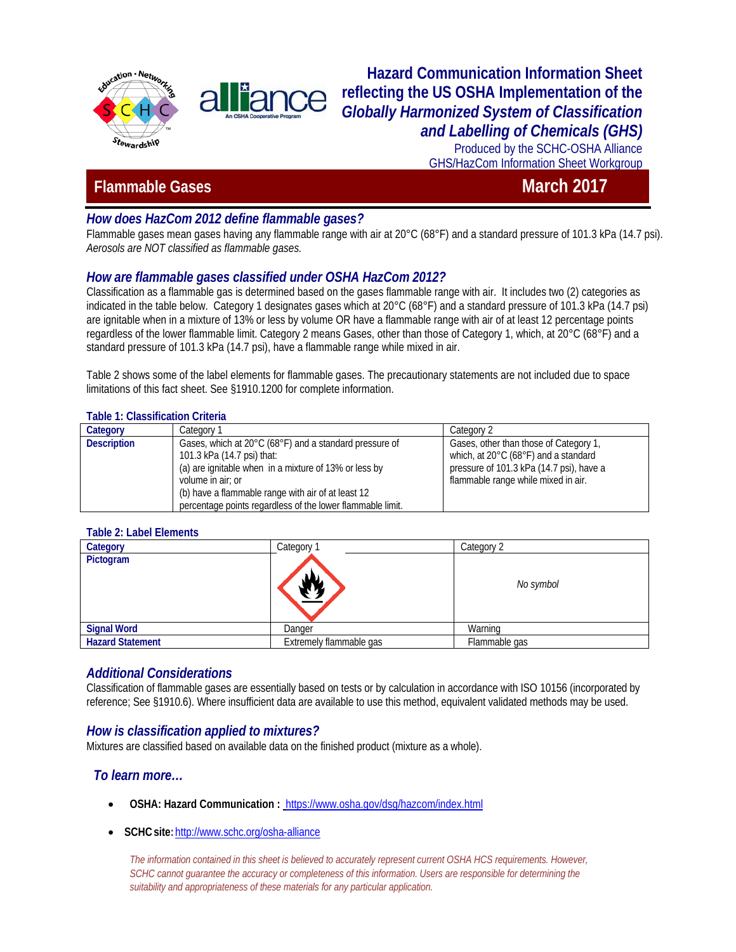



Produced by the SCHC-OSHA Alliance GHS/HazCom Information Sheet Workgroup

# *Plammable Gases* **March 2017**

# *How does HazCom 2012 define flammable gases?*

Flammable gases mean gases having any flammable range with air at 20°C (68°F) and a standard pressure of 101.3 kPa (14.7 psi). *Aerosols are NOT classified as flammable gases.*

# *How are flammable gases classified under OSHA HazCom 2012?*

Classification as a flammable gas is determined based on the gases flammable range with air. It includes two (2) categories as indicated in the table below. Category 1 designates gases which at 20°C (68°F) and a standard pressure of 101.3 kPa (14.7 psi) are ignitable when in a mixture of 13% or less by volume OR have a flammable range with air of at least 12 percentage points regardless of the lower flammable limit. Category 2 means Gases, other than those of Category 1, which, at 20°C (68°F) and a standard pressure of 101.3 kPa (14.7 psi), have a flammable range while mixed in air.

Table 2 shows some of the label elements for flammable gases. The precautionary statements are not included due to space limitations of this fact sheet. See §1910.1200 for complete information.

#### **Table 1: Classification Criteria**

| Category           | Category 1                                                                                                                                                                                                                                                                             | Category 2                                                                                                                                                        |
|--------------------|----------------------------------------------------------------------------------------------------------------------------------------------------------------------------------------------------------------------------------------------------------------------------------------|-------------------------------------------------------------------------------------------------------------------------------------------------------------------|
| <b>Description</b> | Gases, which at 20°C (68°F) and a standard pressure of<br>101.3 kPa (14.7 psi) that:<br>(a) are ignitable when in a mixture of 13% or less by<br>volume in air; or<br>(b) have a flammable range with air of at least 12<br>percentage points regardless of the lower flammable limit. | Gases, other than those of Category 1,<br>which, at 20°C (68°F) and a standard<br>pressure of 101.3 kPa (14.7 psi), have a<br>flammable range while mixed in air. |

#### **Table 2: Label Elements**

| Category                | Category                | Category 2    |
|-------------------------|-------------------------|---------------|
| Pictogram               |                         | No symbol     |
| <b>Signal Word</b>      | Danger                  | Warning       |
| <b>Hazard Statement</b> | Extremely flammable gas | Flammable gas |

## *Additional Considerations*

Classification of flammable gases are essentially based on tests or by calculation in accordance with ISO 10156 (incorporated by reference; See §1910.6). Where insufficient data are available to use this method, equivalent validated methods may be used.

## *How is classification applied to mixtures?*

Mixtures are classified based on available data on the finished product (mixture as a whole).

#### *To learn more…*

- **OSHA: Hazard Communication :** <https://www.osha.gov/dsg/hazcom/index.html>
- **SCHCsite:**<http://www.schc.org/osha-alliance>

*The information contained in this sheet is believed to accurately represent current OSHA HCS requirements. However,*  SCHC cannot quarantee the accuracy or completeness of this information. Users are responsible for determining the *suitability and appropriateness of these materials for any particular application.*